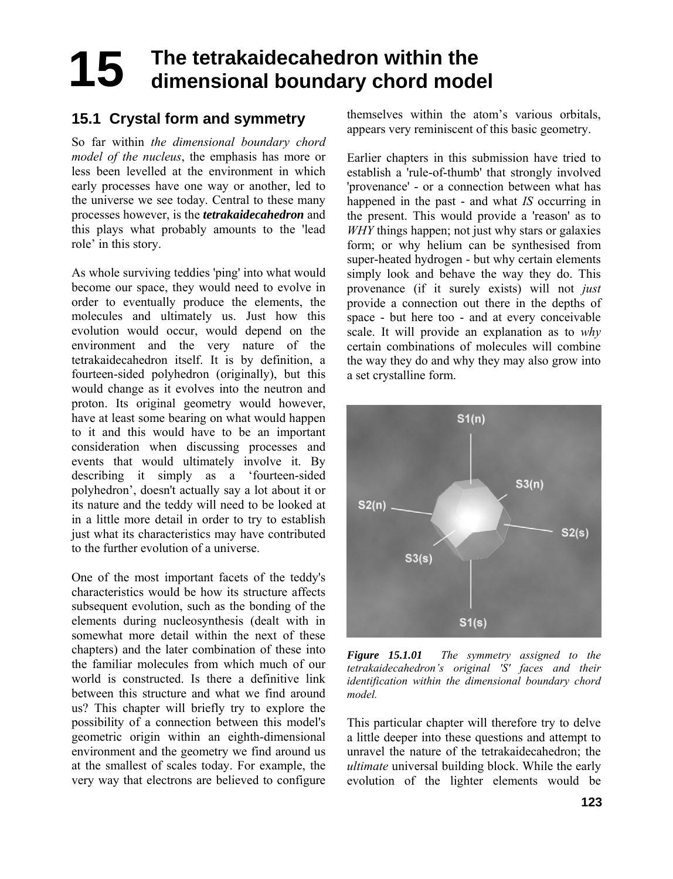# **The tetrakaidecahedron within the dimensional boundary chord model 15**

# **15.1 Crystal form and symmetry**

So far within *the dimensional boundary chord model of the nucleus*, the emphasis has more or less been levelled at the environment in which early processes have one way or another, led to the universe we see today. Central to these many processes however, is the *tetrakaidecahedron* and this plays what probably amounts to the 'lead role' in this story.

As whole surviving teddies 'ping' into what would become our space, they would need to evolve in order to eventually produce the elements, the molecules and ultimately us. Just how this evolution would occur, would depend on the environment and the very nature of the tetrakaidecahedron itself. It is by definition, a fourteen-sided polyhedron (originally), but this would change as it evolves into the neutron and proton. Its original geometry would however, have at least some bearing on what would happen to it and this would have to be an important consideration when discussing processes and events that would ultimately involve it. By describing it simply as a 'fourteen-sided polyhedron', doesn't actually say a lot about it or its nature and the teddy will need to be looked at in a little more detail in order to try to establish just what its characteristics may have contributed to the further evolution of a universe.

One of the most important facets of the teddy's characteristics would be how its structure affects subsequent evolution, such as the bonding of the elements during nucleosynthesis (dealt with in somewhat more detail within the next of these chapters) and the later combination of these into the familiar molecules from which much of our world is constructed. Is there a definitive link between this structure and what we find around us? This chapter will briefly try to explore the possibility of a connection between this model's geometric origin within an eighth-dimensional environment and the geometry we find around us at the smallest of scales today. For example, the very way that electrons are believed to configure themselves within the atom's various orbitals, appears very reminiscent of this basic geometry.

Earlier chapters in this submission have tried to establish a 'rule-of-thumb' that strongly involved 'provenance' - or a connection between what has happened in the past - and what *IS* occurring in the present. This would provide a 'reason' as to *WHY* things happen; not just why stars or galaxies form; or why helium can be synthesised from super-heated hydrogen - but why certain elements simply look and behave the way they do. This provenance (if it surely exists) will not *just* provide a connection out there in the depths of space - but here too - and at every conceivable scale. It will provide an explanation as to *why* certain combinations of molecules will combine the way they do and why they may also grow into a set crystalline form.



*Figure 15.1.01 The symmetry assigned to the tetrakaidecahedron's original 'S' faces and their identification within the dimensional boundary chord model.* 

This particular chapter will therefore try to delve a little deeper into these questions and attempt to unravel the nature of the tetrakaidecahedron; the *ultimate* universal building block. While the early evolution of the lighter elements would be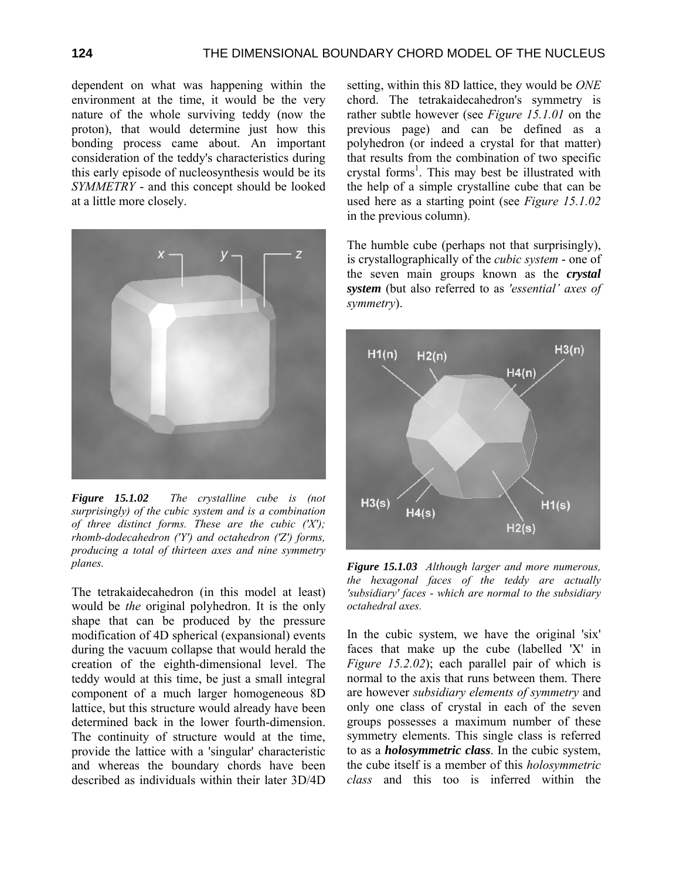dependent on what was happening within the environment at the time, it would be the very nature of the whole surviving teddy (now the proton), that would determine just how this bonding process came about. An important consideration of the teddy's characteristics during this early episode of nucleosynthesis would be its *SYMMETRY* - and this concept should be looked at a little more closely.



*Figure 15.1.02 The crystalline cube is (not surprisingly) of the cubic system and is a combination of three distinct forms. These are the cubic ('X'); rhomb-dodecahedron ('Y') and octahedron ('Z') forms, producing a total of thirteen axes and nine symmetry planes.* 

The tetrakaidecahedron (in this model at least) would be *the* original polyhedron. It is the only shape that can be produced by the pressure modification of 4D spherical (expansional) events during the vacuum collapse that would herald the creation of the eighth-dimensional level. The teddy would at this time, be just a small integral component of a much larger homogeneous 8D lattice, but this structure would already have been determined back in the lower fourth-dimension. The continuity of structure would at the time, provide the lattice with a 'singular' characteristic and whereas the boundary chords have been described as individuals within their later 3D/4D setting, within this 8D lattice, they would be *ONE* chord. The tetrakaidecahedron's symmetry is rather subtle however (see *Figure 15.1.01* on the previous page) and can be defined as a polyhedron (or indeed a crystal for that matter) that results from the combination of two specific crystal forms<sup>1</sup>. This may best be illustrated with the help of a simple crystalline cube that can be used here as a starting point (see *Figure 15.1.02* in the previous column).

The humble cube (perhaps not that surprisingly), is crystallographically of the *cubic system* - one of the seven main groups known as the *crystal system* (but also referred to as *'essential' axes of symmetry*).



*Figure 15.1.03 Although larger and more numerous, the hexagonal faces of the teddy are actually 'subsidiary' faces - which are normal to the subsidiary octahedral axes.*

In the cubic system, we have the original 'six' faces that make up the cube (labelled 'X' in *Figure 15.2.02*); each parallel pair of which is normal to the axis that runs between them. There are however *subsidiary elements of symmetry* and only one class of crystal in each of the seven groups possesses a maximum number of these symmetry elements. This single class is referred to as a *holosymmetric class*. In the cubic system, the cube itself is a member of this *holosymmetric class* and this too is inferred within the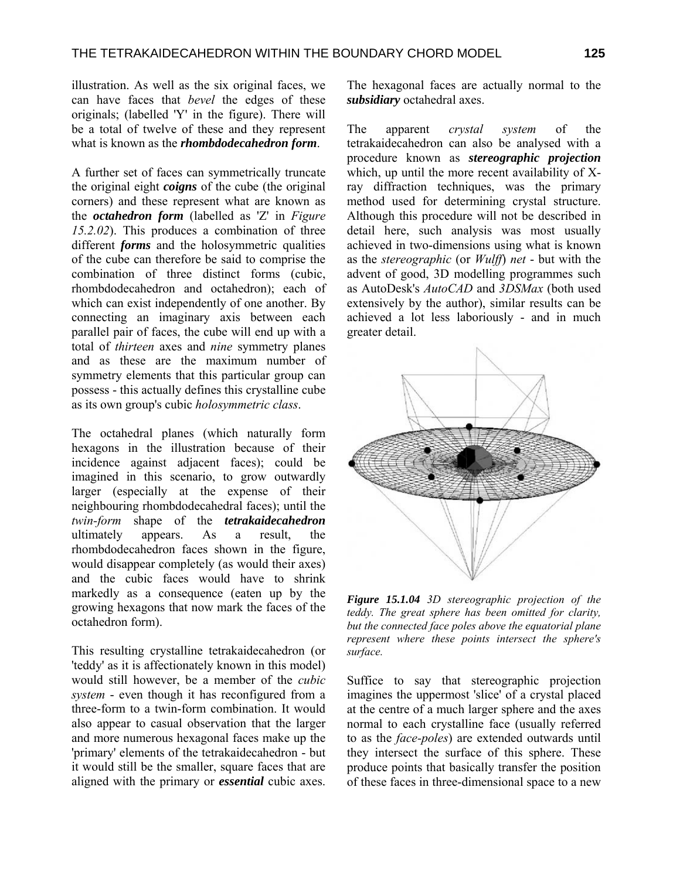illustration. As well as the six original faces, we can have faces that *bevel* the edges of these originals; (labelled 'Y' in the figure). There will be a total of twelve of these and they represent what is known as the *rhombdodecahedron form*.

A further set of faces can symmetrically truncate the original eight *coigns* of the cube (the original corners) and these represent what are known as the *octahedron form* (labelled as 'Z' in *Figure 15.2.02*). This produces a combination of three different *forms* and the holosymmetric qualities of the cube can therefore be said to comprise the combination of three distinct forms (cubic, rhombdodecahedron and octahedron); each of which can exist independently of one another. By connecting an imaginary axis between each parallel pair of faces, the cube will end up with a total of *thirteen* axes and *nine* symmetry planes and as these are the maximum number of symmetry elements that this particular group can possess - this actually defines this crystalline cube as its own group's cubic *holosymmetric class*.

The octahedral planes (which naturally form hexagons in the illustration because of their incidence against adjacent faces); could be imagined in this scenario, to grow outwardly larger (especially at the expense of their neighbouring rhombdodecahedral faces); until the *twin-form* shape of the *tetrakaidecahedron* ultimately appears. As a result, the rhombdodecahedron faces shown in the figure, would disappear completely (as would their axes) and the cubic faces would have to shrink markedly as a consequence (eaten up by the growing hexagons that now mark the faces of the octahedron form).

This resulting crystalline tetrakaidecahedron (or 'teddy' as it is affectionately known in this model) would still however, be a member of the *cubic system* - even though it has reconfigured from a three-form to a twin-form combination. It would also appear to casual observation that the larger and more numerous hexagonal faces make up the 'primary' elements of the tetrakaidecahedron - but it would still be the smaller, square faces that are aligned with the primary or *essential* cubic axes.

The hexagonal faces are actually normal to the *subsidiary* octahedral axes.

The apparent *crystal system* of the tetrakaidecahedron can also be analysed with a procedure known as *stereographic projection* which, up until the more recent availability of Xray diffraction techniques, was the primary method used for determining crystal structure. Although this procedure will not be described in detail here, such analysis was most usually achieved in two-dimensions using what is known as the *stereographic* (or *Wulff*) *net* - but with the advent of good, 3D modelling programmes such as AutoDesk's *AutoCAD* and *3DSMax* (both used extensively by the author), similar results can be achieved a lot less laboriously - and in much greater detail.



*Figure 15.1.04 3D stereographic projection of the teddy. The great sphere has been omitted for clarity, but the connected face poles above the equatorial plane represent where these points intersect the sphere's surface.* 

Suffice to say that stereographic projection imagines the uppermost 'slice' of a crystal placed at the centre of a much larger sphere and the axes normal to each crystalline face (usually referred to as the *face-poles*) are extended outwards until they intersect the surface of this sphere. These produce points that basically transfer the position of these faces in three-dimensional space to a new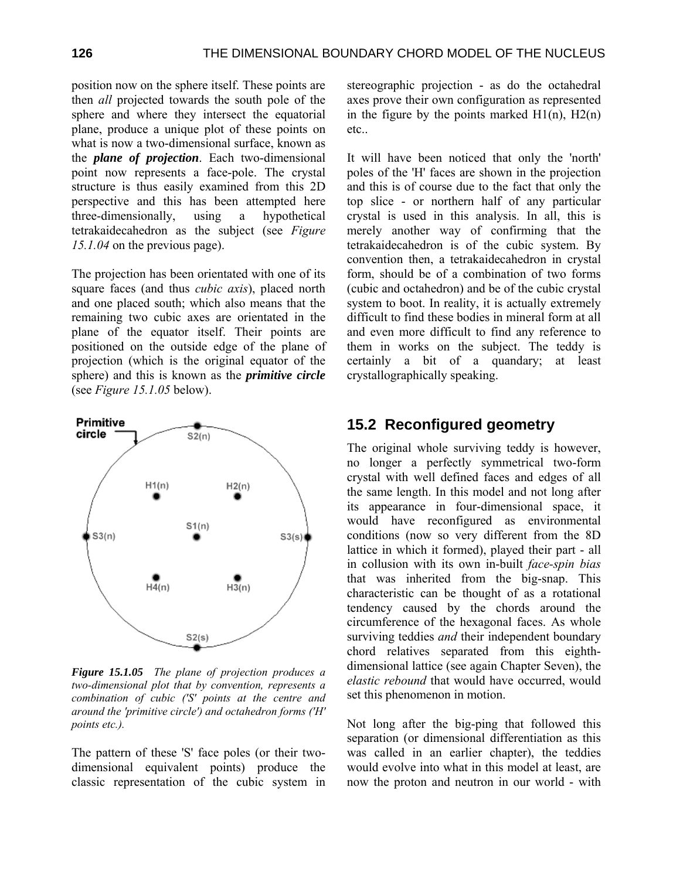position now on the sphere itself. These points are then *all* projected towards the south pole of the sphere and where they intersect the equatorial plane, produce a unique plot of these points on what is now a two-dimensional surface, known as the *plane of projection*. Each two-dimensional point now represents a face-pole. The crystal structure is thus easily examined from this 2D perspective and this has been attempted here three-dimensionally, using a hypothetical tetrakaidecahedron as the subject (see *Figure 15.1.04* on the previous page).

The projection has been orientated with one of its square faces (and thus *cubic axis*), placed north and one placed south; which also means that the remaining two cubic axes are orientated in the plane of the equator itself. Their points are positioned on the outside edge of the plane of projection (which is the original equator of the sphere) and this is known as the *primitive circle* (see *Figure 15.1.05* below).



*Figure 15.1.05 The plane of projection produces a two-dimensional plot that by convention, represents a combination of cubic ('S' points at the centre and around the 'primitive circle') and octahedron forms ('H' points etc.).* 

The pattern of these 'S' face poles (or their twodimensional equivalent points) produce the classic representation of the cubic system in stereographic projection - as do the octahedral axes prove their own configuration as represented in the figure by the points marked  $H1(n)$ ,  $H2(n)$ etc..

It will have been noticed that only the 'north' poles of the 'H' faces are shown in the projection and this is of course due to the fact that only the top slice - or northern half of any particular crystal is used in this analysis. In all, this is merely another way of confirming that the tetrakaidecahedron is of the cubic system. By convention then, a tetrakaidecahedron in crystal form, should be of a combination of two forms (cubic and octahedron) and be of the cubic crystal system to boot. In reality, it is actually extremely difficult to find these bodies in mineral form at all and even more difficult to find any reference to them in works on the subject. The teddy is certainly a bit of a quandary; at least crystallographically speaking.

# **15.2 Reconfigured geometry**

The original whole surviving teddy is however, no longer a perfectly symmetrical two-form crystal with well defined faces and edges of all the same length. In this model and not long after its appearance in four-dimensional space, it would have reconfigured as environmental conditions (now so very different from the 8D lattice in which it formed), played their part - all in collusion with its own in-built *face-spin bias* that was inherited from the big-snap. This characteristic can be thought of as a rotational tendency caused by the chords around the circumference of the hexagonal faces. As whole surviving teddies *and* their independent boundary chord relatives separated from this eighthdimensional lattice (see again Chapter Seven), the *elastic rebound* that would have occurred, would set this phenomenon in motion.

Not long after the big-ping that followed this separation (or dimensional differentiation as this was called in an earlier chapter), the teddies would evolve into what in this model at least, are now the proton and neutron in our world - with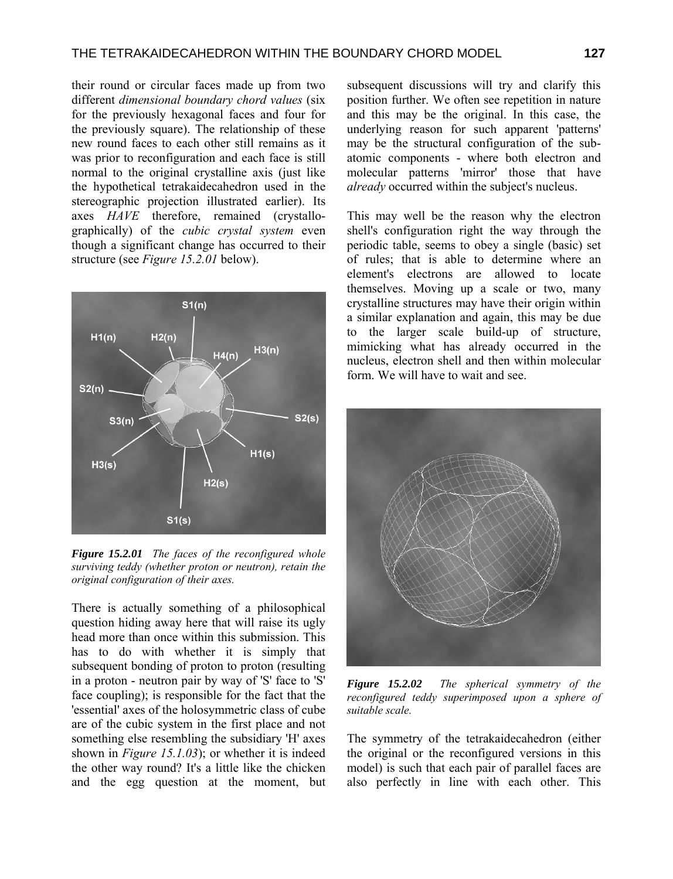their round or circular faces made up from two different *dimensional boundary chord values* (six for the previously hexagonal faces and four for the previously square). The relationship of these new round faces to each other still remains as it was prior to reconfiguration and each face is still normal to the original crystalline axis (just like the hypothetical tetrakaidecahedron used in the stereographic projection illustrated earlier). Its axes *HAVE* therefore, remained (crystallographically) of the *cubic crystal system* even though a significant change has occurred to their structure (see *Figure 15.2.01* below).



*Figure 15.2.01 The faces of the reconfigured whole surviving teddy (whether proton or neutron), retain the original configuration of their axes.* 

There is actually something of a philosophical question hiding away here that will raise its ugly head more than once within this submission. This has to do with whether it is simply that subsequent bonding of proton to proton (resulting in a proton - neutron pair by way of 'S' face to 'S' face coupling); is responsible for the fact that the 'essential' axes of the holosymmetric class of cube are of the cubic system in the first place and not something else resembling the subsidiary 'H' axes shown in *Figure 15.1.03*); or whether it is indeed the other way round? It's a little like the chicken and the egg question at the moment, but

subsequent discussions will try and clarify this position further. We often see repetition in nature and this may be the original. In this case, the underlying reason for such apparent 'patterns' may be the structural configuration of the subatomic components - where both electron and molecular patterns 'mirror' those that have *already* occurred within the subject's nucleus.

This may well be the reason why the electron shell's configuration right the way through the periodic table, seems to obey a single (basic) set of rules; that is able to determine where an element's electrons are allowed to locate themselves. Moving up a scale or two, many crystalline structures may have their origin within a similar explanation and again, this may be due to the larger scale build-up of structure, mimicking what has already occurred in the nucleus, electron shell and then within molecular form. We will have to wait and see.



*Figure 15.2.02 The spherical symmetry of the reconfigured teddy superimposed upon a sphere of suitable scale.* 

The symmetry of the tetrakaidecahedron (either the original or the reconfigured versions in this model) is such that each pair of parallel faces are also perfectly in line with each other. This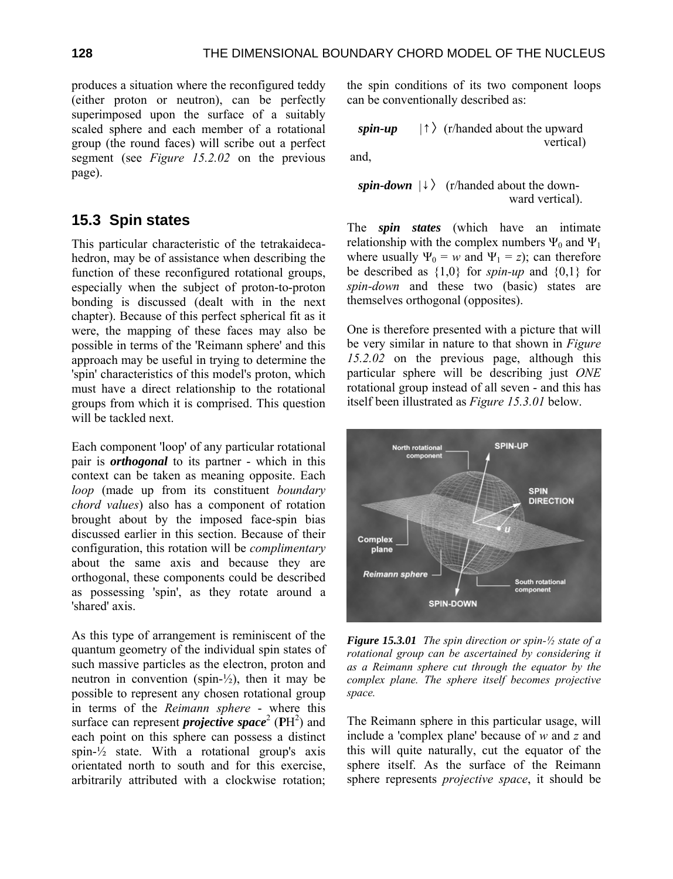produces a situation where the reconfigured teddy (either proton or neutron), can be perfectly superimposed upon the surface of a suitably scaled sphere and each member of a rotational group (the round faces) will scribe out a perfect segment (see *Figure 15.2.02* on the previous page).

### **15.3 Spin states**

This particular characteristic of the tetrakaidecahedron, may be of assistance when describing the function of these reconfigured rotational groups, especially when the subject of proton-to-proton bonding is discussed (dealt with in the next chapter). Because of this perfect spherical fit as it were, the mapping of these faces may also be possible in terms of the 'Reimann sphere' and this approach may be useful in trying to determine the 'spin' characteristics of this model's proton, which must have a direct relationship to the rotational groups from which it is comprised. This question will be tackled next.

Each component 'loop' of any particular rotational pair is *orthogonal* to its partner - which in this context can be taken as meaning opposite. Each *loop* (made up from its constituent *boundary chord values*) also has a component of rotation brought about by the imposed face-spin bias discussed earlier in this section. Because of their configuration, this rotation will be *complimentary* about the same axis and because they are orthogonal, these components could be described as possessing 'spin', as they rotate around a 'shared' axis.

As this type of arrangement is reminiscent of the quantum geometry of the individual spin states of such massive particles as the electron, proton and neutron in convention (spin- $\frac{1}{2}$ ), then it may be possible to represent any chosen rotational group in terms of the *Reimann sphere* - where this surface can represent *projective space*<sup>2</sup> ( $PH<sup>2</sup>$ ) and each point on this sphere can possess a distinct spin- $\frac{1}{2}$  state. With a rotational group's axis orientated north to south and for this exercise, arbitrarily attributed with a clockwise rotation;

the spin conditions of its two component loops can be conventionally described as:

*spin-up*  $|↑⟩$  (r/handed about the upward vertical) and,

 *spin-down* |↓〉 (r/handed about the down ward vertical).

The *spin states* (which have an intimate relationship with the complex numbers  $\Psi_0$  and  $\Psi_1$ where usually  $\Psi_0 = w$  and  $\Psi_1 = z$ ); can therefore be described as  $\{1,0\}$  for *spin-up* and  $\{0,1\}$  for *spin-down* and these two (basic) states are themselves orthogonal (opposites).

One is therefore presented with a picture that will be very similar in nature to that shown in *Figure 15.2.02* on the previous page, although this particular sphere will be describing just *ONE* rotational group instead of all seven - and this has itself been illustrated as *Figure 15.3.01* below.



*Figure 15.3.01 The spin direction or spin-½ state of a rotational group can be ascertained by considering it as a Reimann sphere cut through the equator by the complex plane. The sphere itself becomes projective space.* 

The Reimann sphere in this particular usage, will include a 'complex plane' because of *w* and *z* and this will quite naturally, cut the equator of the sphere itself. As the surface of the Reimann sphere represents *projective space*, it should be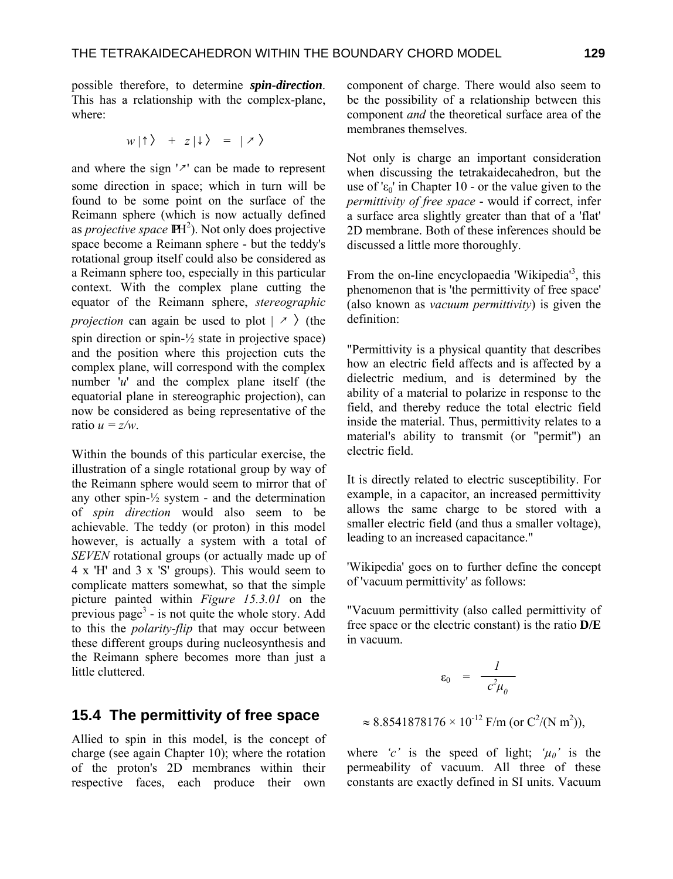possible therefore, to determine *spin-direction*. This has a relationship with the complex-plane, where:

$$
w|\uparrow\rangle + z|\downarrow\rangle = |\uparrow\rangle
$$

and where the sign  $'$ <sup>'</sup> can be made to represent some direction in space; which in turn will be found to be some point on the surface of the Reimann sphere (which is now actually defined as *projective space*  $\mathbb{P}H^2$ ). Not only does projective space become a Reimann sphere - but the teddy's rotational group itself could also be considered as a Reimann sphere too, especially in this particular context. With the complex plane cutting the equator of the Reimann sphere, *stereographic projection* can again be used to plot  $| \nearrow \rangle$  (the spin direction or spin-½ state in projective space) and the position where this projection cuts the complex plane, will correspond with the complex number '*u*' and the complex plane itself (the equatorial plane in stereographic projection), can now be considered as being representative of the ratio  $u = z/w$ .

Within the bounds of this particular exercise, the illustration of a single rotational group by way of the Reimann sphere would seem to mirror that of any other spin- $\frac{1}{2}$  system - and the determination of *spin direction* would also seem to be achievable. The teddy (or proton) in this model however, is actually a system with a total of *SEVEN* rotational groups (or actually made up of 4 x 'H' and 3 x 'S' groups). This would seem to complicate matters somewhat, so that the simple picture painted within *Figure 15.3.01* on the previous page<sup>3</sup> - is not quite the whole story. Add to this the *polarity-flip* that may occur between these different groups during nucleosynthesis and the Reimann sphere becomes more than just a little cluttered.

### **15.4 The permittivity of free space**

Allied to spin in this model, is the concept of charge (see again Chapter 10); where the rotation of the proton's 2D membranes within their respective faces, each produce their own

component of charge. There would also seem to be the possibility of a relationship between this component *and* the theoretical surface area of the membranes themselves.

Not only is charge an important consideration when discussing the tetrakaidecahedron, but the use of ' $\varepsilon_0$ ' in Chapter 10 - or the value given to the *permittivity of free space* - would if correct, infer a surface area slightly greater than that of a 'flat' 2D membrane. Both of these inferences should be discussed a little more thoroughly.

From the on-line encyclopaedia 'Wikipedia<sup>3</sup>, this phenomenon that is 'the permittivity of free space' (also known as *vacuum permittivity*) is given the definition:

"Permittivity is a physical quantity that describes how an electric field affects and is affected by a dielectric medium, and is determined by the ability of a material to polarize in response to the field, and thereby reduce the total electric field inside the material. Thus, permittivity relates to a material's ability to transmit (or "permit") an electric field.

It is directly related to electric susceptibility. For example, in a capacitor, an increased permittivity allows the same charge to be stored with a smaller electric field (and thus a smaller voltage), leading to an increased capacitance."

'Wikipedia' goes on to further define the concept of 'vacuum permittivity' as follows:

"Vacuum permittivity (also called permittivity of free space or the electric constant) is the ratio **D/E** in vacuum.

$$
\varepsilon_0 = \frac{1}{c^2 \mu_0}
$$

$$
\approx
$$
 8.8541878176  $\times$  10<sup>-12</sup> F/m (or C<sup>2</sup>/(N m<sup>2</sup>)),

where *'c'* is the speed of light;  $\mu_0$ ' is the permeability of vacuum. All three of these constants are exactly defined in SI units. Vacuum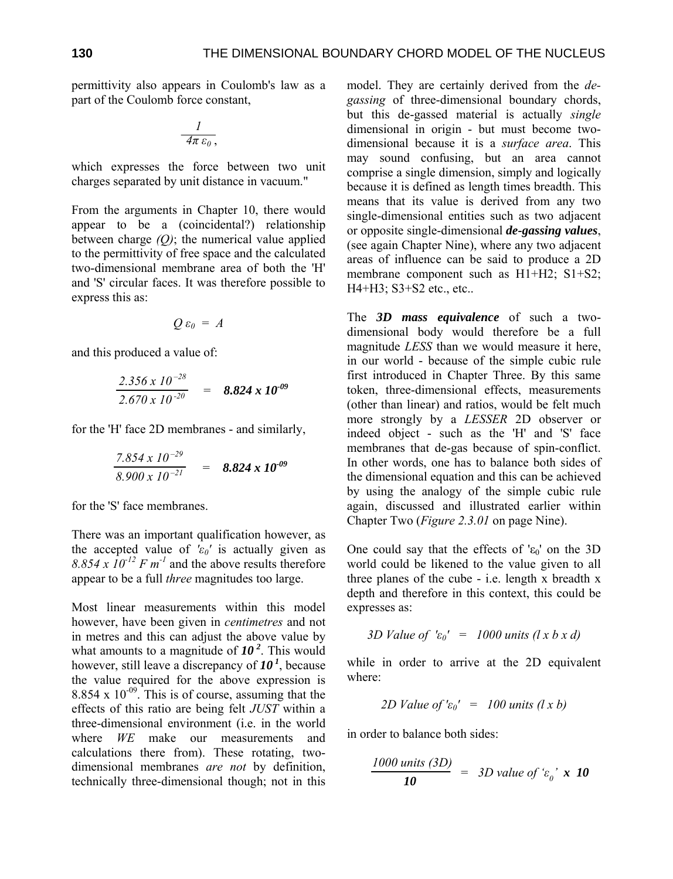permittivity also appears in Coulomb's law as a part of the Coulomb force constant,

$$
\frac{1}{4\pi\,\varepsilon_0},
$$

which expresses the force between two unit charges separated by unit distance in vacuum."

From the arguments in Chapter 10, there would appear to be a (coincidental?) relationship between charge *(Q)*; the numerical value applied to the permittivity of free space and the calculated two-dimensional membrane area of both the 'H' and 'S' circular faces. It was therefore possible to express this as:

$$
Q\,\varepsilon_0\,=\,A
$$

and this produced a value of:

$$
\frac{2.356 \times 10^{-28}}{2.670 \times 10^{-20}} = 8.824 \times 10^{-09}
$$

for the 'H' face 2D membranes - and similarly,

$$
\frac{7.854 \times 10^{-29}}{8.900 \times 10^{-21}} = 8.824 \times 10^{-09}
$$

for the 'S' face membranes.

There was an important qualification however, as the accepted value of  $\epsilon_0$ <sup>*'*</sup> is actually given as  $8.854 \times 10^{-12}$  F m<sup>-1</sup> and the above results therefore appear to be a full *three* magnitudes too large.

Most linear measurements within this model however, have been given in *centimetres* and not in metres and this can adjust the above value by what amounts to a magnitude of *10<sup>2</sup>*. This would however, still leave a discrepancy of *10 1*, because the value required for the above expression is 8.854 x  $10^{-09}$ . This is of course, assuming that the effects of this ratio are being felt *JUST* within a three-dimensional environment (i.e. in the world where *WE* make our measurements and calculations there from). These rotating, twodimensional membranes *are not* by definition, technically three-dimensional though; not in this

model. They are certainly derived from the *degassing* of three-dimensional boundary chords, but this de-gassed material is actually *single* dimensional in origin - but must become twodimensional because it is a *surface area*. This may sound confusing, but an area cannot comprise a single dimension, simply and logically because it is defined as length times breadth. This means that its value is derived from any two single-dimensional entities such as two adjacent or opposite single-dimensional *de-gassing values*, (see again Chapter Nine), where any two adjacent areas of influence can be said to produce a 2D membrane component such as H1+H2; S1+S2; H4+H3; S3+S2 etc., etc..

The *3D mass equivalence* of such a twodimensional body would therefore be a full magnitude *LESS* than we would measure it here, in our world - because of the simple cubic rule first introduced in Chapter Three. By this same token, three-dimensional effects, measurements (other than linear) and ratios, would be felt much more strongly by a *LESSER* 2D observer or indeed object - such as the 'H' and 'S' face membranes that de-gas because of spin-conflict. In other words, one has to balance both sides of the dimensional equation and this can be achieved by using the analogy of the simple cubic rule again, discussed and illustrated earlier within Chapter Two (*Figure 2.3.01* on page Nine).

One could say that the effects of ' $\varepsilon_0$ ' on the 3D world could be likened to the value given to all three planes of the cube - i.e. length x breadth x depth and therefore in this context, this could be expresses as:

3D Value of 
$$
'\epsilon_0'
$$
 = 1000 units ( $l x b x d$ )

while in order to arrive at the 2D equivalent where:

2D Value of 
$$
\epsilon_0
$$
' = 100 units (l x b)

in order to balance both sides:

$$
\frac{1000 \text{ units (3D)}}{10} = 3D \text{ value of '$\varepsilon_{0}$' x 10}
$$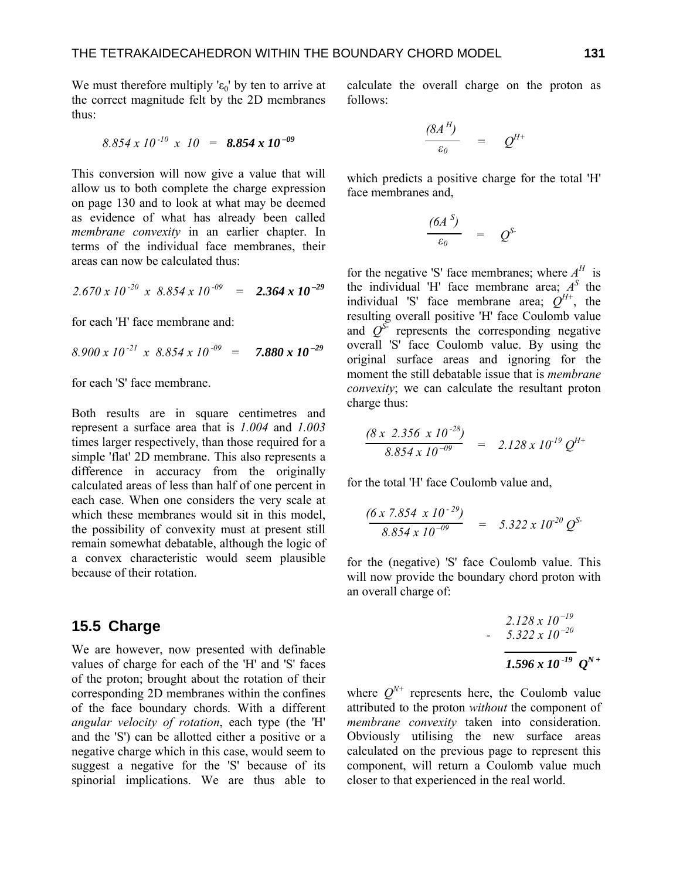We must therefore multiply ' $\varepsilon_0$ ' by ten to arrive at the correct magnitude felt by the 2D membranes thus:

$$
8.854 \times 10^{-10} \times 10 = 8.854 \times 10^{-09}
$$

This conversion will now give a value that will allow us to both complete the charge expression on page 130 and to look at what may be deemed as evidence of what has already been called *membrane convexity* in an earlier chapter. In terms of the individual face membranes, their areas can now be calculated thus:

$$
2.670 \times 10^{-20} \times 8.854 \times 10^{-09} = 2.364 \times 10^{-29}
$$

for each 'H' face membrane and:

$$
8.900 \times 10^{-21} \times 8.854 \times 10^{-09} = 7.880 \times 10^{-29}
$$

for each 'S' face membrane.

Both results are in square centimetres and represent a surface area that is *1.004* and *1.003* times larger respectively, than those required for a simple 'flat' 2D membrane. This also represents a difference in accuracy from the originally calculated areas of less than half of one percent in each case. When one considers the very scale at which these membranes would sit in this model. the possibility of convexity must at present still remain somewhat debatable, although the logic of a convex characteristic would seem plausible because of their rotation.

#### **15.5 Charge**

We are however, now presented with definable values of charge for each of the 'H' and 'S' faces of the proton; brought about the rotation of their corresponding 2D membranes within the confines of the face boundary chords. With a different *angular velocity of rotation*, each type (the 'H' and the 'S') can be allotted either a positive or a negative charge which in this case, would seem to suggest a negative for the 'S' because of its spinorial implications. We are thus able to calculate the overall charge on the proton as follows:

$$
\frac{(8A^H)}{\varepsilon_0} = Q^{H^+}
$$

which predicts a positive charge for the total 'H' face membranes and,

$$
\frac{(6A^S)}{\varepsilon_0} = Q^{S-}
$$

for the negative 'S' face membranes; where  $A<sup>H</sup>$  is the individual 'H' face membrane area;  $A<sup>S</sup>$  the individual 'S' face membrane area;  $\hat{O}^{H+}$ , the resulting overall positive 'H' face Coulomb value and  $Q^{S}$  represents the corresponding negative overall 'S' face Coulomb value. By using the original surface areas and ignoring for the moment the still debatable issue that is *membrane convexity*; we can calculate the resultant proton charge thus:

$$
\frac{(8 x \cdot 2.356 \times 10^{-28})}{8.854 \times 10^{-09}} = 2.128 \times 10^{-19} Q^{H+}
$$

for the total 'H' face Coulomb value and,

$$
\frac{(6 x 7.854 x 10^{-29})}{8.854 x 10^{-09}} = 5.322 x 10^{-20} Q^{5}
$$

for the (negative) 'S' face Coulomb value. This will now provide the boundary chord proton with an overall charge of:

$$
-\frac{2.128 \times 10^{-19}}{5.322 \times 10^{-20}} -\frac{5.322 \times 10^{-20}}{1.596 \times 10^{-19}} Q^{N+}
$$

where  $Q^{N+}$  represents here, the Coulomb value attributed to the proton *without* the component of *membrane convexity* taken into consideration. Obviously utilising the new surface areas calculated on the previous page to represent this component, will return a Coulomb value much closer to that experienced in the real world.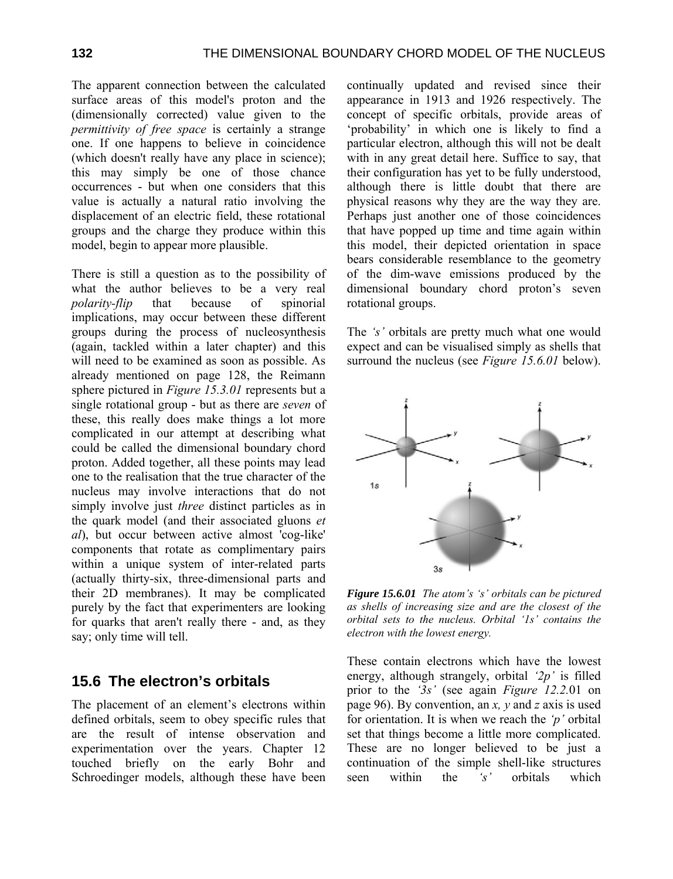The apparent connection between the calculated surface areas of this model's proton and the (dimensionally corrected) value given to the *permittivity of free space* is certainly a strange one. If one happens to believe in coincidence (which doesn't really have any place in science); this may simply be one of those chance occurrences - but when one considers that this value is actually a natural ratio involving the displacement of an electric field, these rotational groups and the charge they produce within this model, begin to appear more plausible.

There is still a question as to the possibility of what the author believes to be a very real *polarity-flip* that because of spinorial implications, may occur between these different groups during the process of nucleosynthesis (again, tackled within a later chapter) and this will need to be examined as soon as possible. As already mentioned on page 128, the Reimann sphere pictured in *Figure 15.3.01* represents but a single rotational group - but as there are *seven* of these, this really does make things a lot more complicated in our attempt at describing what could be called the dimensional boundary chord proton. Added together, all these points may lead one to the realisation that the true character of the nucleus may involve interactions that do not simply involve just *three* distinct particles as in the quark model (and their associated gluons *et al*), but occur between active almost 'cog-like' components that rotate as complimentary pairs within a unique system of inter-related parts (actually thirty-six, three-dimensional parts and their 2D membranes). It may be complicated purely by the fact that experimenters are looking for quarks that aren't really there - and, as they say; only time will tell.

## **15.6 The electron's orbitals**

The placement of an element's electrons within defined orbitals, seem to obey specific rules that are the result of intense observation and experimentation over the years. Chapter 12 touched briefly on the early Bohr and Schroedinger models, although these have been continually updated and revised since their appearance in 1913 and 1926 respectively. The concept of specific orbitals, provide areas of 'probability' in which one is likely to find a particular electron, although this will not be dealt with in any great detail here. Suffice to say, that their configuration has yet to be fully understood, although there is little doubt that there are physical reasons why they are the way they are. Perhaps just another one of those coincidences that have popped up time and time again within this model, their depicted orientation in space bears considerable resemblance to the geometry of the dim-wave emissions produced by the dimensional boundary chord proton's seven rotational groups.

The *'s'* orbitals are pretty much what one would expect and can be visualised simply as shells that surround the nucleus (see *Figure 15.6.01* below).



*Figure 15.6.01 The atom's 's' orbitals can be pictured as shells of increasing size and are the closest of the orbital sets to the nucleus. Orbital '1s' contains the electron with the lowest energy.* 

These contain electrons which have the lowest energy, although strangely, orbital *'2p'* is filled prior to the *'3s'* (see again *Figure 12.2.*01 on page 96). By convention, an *x, y* and *z* axis is used for orientation. It is when we reach the *'p'* orbital set that things become a little more complicated. These are no longer believed to be just a continuation of the simple shell-like structures seen within the *'s'* orbitals which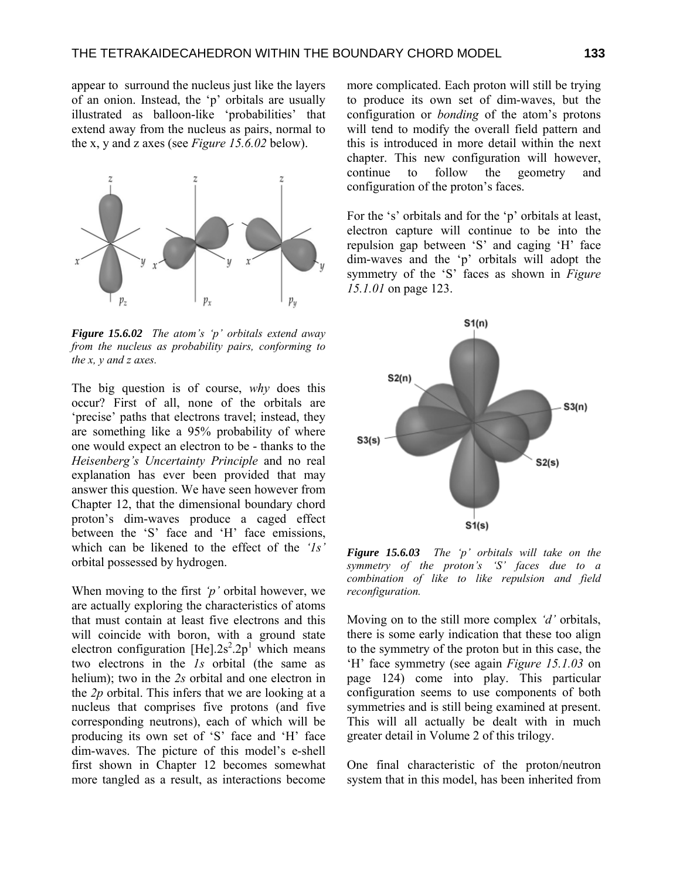appear to surround the nucleus just like the layers of an onion. Instead, the 'p' orbitals are usually illustrated as balloon-like 'probabilities' that extend away from the nucleus as pairs, normal to the x, y and z axes (see *Figure 15.6.02* below).



*Figure 15.6.02 The atom's 'p' orbitals extend away from the nucleus as probability pairs, conforming to the x, y and z axes.* 

The big question is of course, *why* does this occur? First of all, none of the orbitals are 'precise' paths that electrons travel; instead, they are something like a 95% probability of where one would expect an electron to be - thanks to the *Heisenberg's Uncertainty Principle* and no real explanation has ever been provided that may answer this question. We have seen however from Chapter 12, that the dimensional boundary chord proton's dim-waves produce a caged effect between the 'S' face and 'H' face emissions, which can be likened to the effect of the *'1s'* orbital possessed by hydrogen.

When moving to the first *'p'* orbital however, we are actually exploring the characteristics of atoms that must contain at least five electrons and this will coincide with boron, with a ground state electron configuration  $[He]$ .2s<sup>2</sup>.2p<sup>1</sup> which means two electrons in the *1s* orbital (the same as helium); two in the *2s* orbital and one electron in the *2p* orbital. This infers that we are looking at a nucleus that comprises five protons (and five corresponding neutrons), each of which will be producing its own set of 'S' face and 'H' face dim-waves. The picture of this model's e-shell first shown in Chapter 12 becomes somewhat more tangled as a result, as interactions become

more complicated. Each proton will still be trying to produce its own set of dim-waves, but the configuration or *bonding* of the atom's protons will tend to modify the overall field pattern and this is introduced in more detail within the next chapter. This new configuration will however, continue to follow the geometry and configuration of the proton's faces.

For the 's' orbitals and for the 'p' orbitals at least, electron capture will continue to be into the repulsion gap between 'S' and caging 'H' face dim-waves and the 'p' orbitals will adopt the symmetry of the 'S' faces as shown in *Figure 15.1.01* on page 123.



*Figure 15.6.03 The 'p' orbitals will take on the symmetry of the proton's 'S' faces due to a combination of like to like repulsion and field reconfiguration.* 

Moving on to the still more complex *'d'* orbitals, there is some early indication that these too align to the symmetry of the proton but in this case, the 'H' face symmetry (see again *Figure 15.1.03* on page 124) come into play. This particular configuration seems to use components of both symmetries and is still being examined at present. This will all actually be dealt with in much greater detail in Volume 2 of this trilogy.

One final characteristic of the proton/neutron system that in this model, has been inherited from